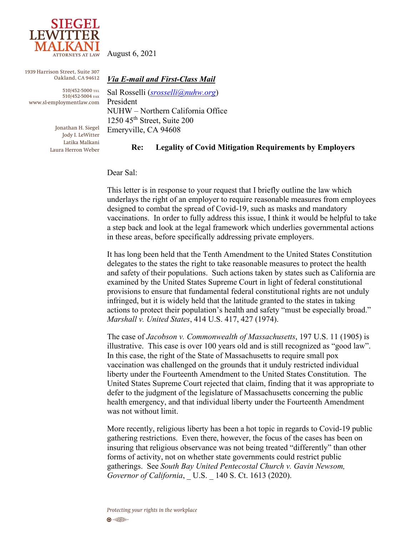

1939 Harrison Street, Suite 307 Oakland, CA 94612

510/452-5000 TEL 510/452-5004 FAX www.sl-employmentlaw.com *Via E-mail and First-Class Mail*

Sal Rosselli (*[srosselli@nuhw.org](mailto:srosselli@nuhw.org)*) President NUHW – Northern California Office  $1250$  45<sup>th</sup> Street, Suite 200 Emeryville, CA 94608

Jonathan H. Siegel Jody I. LeWitter Latika Malkani Laura Herron Weber

## **Re: Legality of Covid Mitigation Requirements by Employers**

## Dear Sal:

This letter is in response to your request that I briefly outline the law which underlays the right of an employer to require reasonable measures from employees designed to combat the spread of Covid-19, such as masks and mandatory vaccinations. In order to fully address this issue, I think it would be helpful to take a step back and look at the legal framework which underlies governmental actions in these areas, before specifically addressing private employers.

It has long been held that the Tenth Amendment to the United States Constitution delegates to the states the right to take reasonable measures to protect the health and safety of their populations. Such actions taken by states such as California are examined by the United States Supreme Court in light of federal constitutional provisions to ensure that fundamental federal constitutional rights are not unduly infringed, but it is widely held that the latitude granted to the states in taking actions to protect their population's health and safety "must be especially broad." *Marshall v. United States*, 414 U.S. 417, 427 (1974).

The case of *Jacobson v. Commonwealth of Massachusetts*, 197 U.S. 11 (1905) is illustrative. This case is over 100 years old and is still recognized as "good law". In this case, the right of the State of Massachusetts to require small pox vaccination was challenged on the grounds that it unduly restricted individual liberty under the Fourteenth Amendment to the United States Constitution. The United States Supreme Court rejected that claim, finding that it was appropriate to defer to the judgment of the legislature of Massachusetts concerning the public health emergency, and that individual liberty under the Fourteenth Amendment was not without limit.

More recently, religious liberty has been a hot topic in regards to Covid-19 public gathering restrictions. Even there, however, the focus of the cases has been on insuring that religious observance was not being treated "differently" than other forms of activity, not on whether state governments could restrict public gatherings. See *South Bay United Pentecostal Church v. Gavin Newsom, Governor of California*, U.S. 140 S. Ct. 1613 (2020).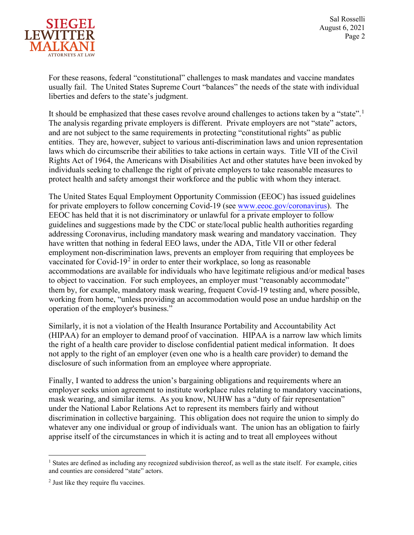

Sal Rosselli August 6, 2021 Page 2

For these reasons, federal "constitutional" challenges to mask mandates and vaccine mandates usually fail. The United States Supreme Court "balances" the needs of the state with individual liberties and defers to the state's judgment.

It should be emphasized that these cases revolve around challenges to actions taken by a "state".<sup>[1](#page-1-0)</sup> The analysis regarding private employers is different. Private employers are not "state" actors, and are not subject to the same requirements in protecting "constitutional rights" as public entities. They are, however, subject to various anti-discrimination laws and union representation laws which do circumscribe their abilities to take actions in certain ways. Title VII of the Civil Rights Act of 1964, the Americans with Disabilities Act and other statutes have been invoked by individuals seeking to challenge the right of private employers to take reasonable measures to protect health and safety amongst their workforce and the public with whom they interact.

The United States Equal Employment Opportunity Commission (EEOC) has issued guidelines for private employers to follow concerning Covid-19 (see [www.eeoc.gov/coronavirus\).](http://www.eeoc.gov/coronavirus) The EEOC has held that it is not discriminatory or unlawful for a private employer to follow guidelines and suggestions made by the CDC or state/local public health authorities regarding addressing Coronavirus, including mandatory mask wearing and mandatory vaccination. They have written that nothing in federal EEO laws, under the ADA, Title VII or other federal employment non-discrimination laws, prevents an employer from requiring that employees be vaccinated for Covid-19<sup>[2](#page-1-1)</sup> in order to enter their workplace, so long as reasonable accommodations are available for individuals who have legitimate religious and/or medical bases to object to vaccination. For such employees, an employer must "reasonably accommodate" them by, for example, mandatory mask wearing, frequent Covid-19 testing and, where possible, working from home, "unless providing an accommodation would pose an undue hardship on the operation of the employer's business."

Similarly, it is not a violation of the Health Insurance Portability and Accountability Act (HIPAA) for an employer to demand proof of vaccination. HIPAA is a narrow law which limits the right of a health care provider to disclose confidential patient medical information. It does not apply to the right of an employer (even one who is a health care provider) to demand the disclosure of such information from an employee where appropriate.

Finally, I wanted to address the union's bargaining obligations and requirements where an employer seeks union agreement to institute workplace rules relating to mandatory vaccinations, mask wearing, and similar items. As you know, NUHW has a "duty of fair representation" under the National Labor Relations Act to represent its members fairly and without discrimination in collective bargaining. This obligation does not require the union to simply do whatever any one individual or group of individuals want. The union has an obligation to fairly apprise itself of the circumstances in which it is acting and to treat all employees without

<span id="page-1-0"></span><sup>&</sup>lt;sup>1</sup> States are defined as including any recognized subdivision thereof, as well as the state itself. For example, cities and counties are considered "state" actors.

<span id="page-1-1"></span><sup>2</sup> Just like they require flu vaccines.